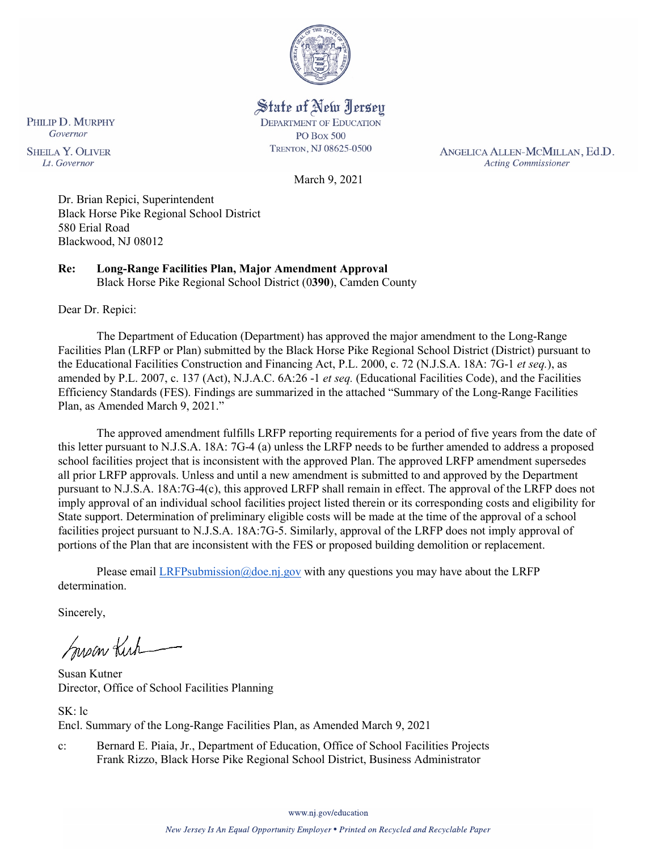

State of New Jersey **DEPARTMENT OF EDUCATION PO Box 500** TRENTON, NJ 08625-0500

ANGELICA ALLEN-MCMILLAN, Ed.D. **Acting Commissioner** 

March 9, 2021

Dr. Brian Repici, Superintendent Black Horse Pike Regional School District 580 Erial Road Blackwood, NJ 08012

**Re: Long-Range Facilities Plan, Major Amendment Approval**  Black Horse Pike Regional School District (0**390**), Camden County

Dear Dr. Repici:

PHILIP D. MURPHY Governor

**SHEILA Y. OLIVER** 

Lt. Governor

The Department of Education (Department) has approved the major amendment to the Long-Range Facilities Plan (LRFP or Plan) submitted by the Black Horse Pike Regional School District (District) pursuant to the Educational Facilities Construction and Financing Act, P.L. 2000, c. 72 (N.J.S.A. 18A: 7G-1 *et seq.*), as amended by P.L. 2007, c. 137 (Act), N.J.A.C. 6A:26 -1 *et seq.* (Educational Facilities Code), and the Facilities Efficiency Standards (FES). Findings are summarized in the attached "Summary of the Long-Range Facilities Plan, as Amended March 9, 2021."

The approved amendment fulfills LRFP reporting requirements for a period of five years from the date of this letter pursuant to N.J.S.A. 18A: 7G-4 (a) unless the LRFP needs to be further amended to address a proposed school facilities project that is inconsistent with the approved Plan. The approved LRFP amendment supersedes all prior LRFP approvals. Unless and until a new amendment is submitted to and approved by the Department pursuant to N.J.S.A. 18A:7G-4(c), this approved LRFP shall remain in effect. The approval of the LRFP does not imply approval of an individual school facilities project listed therein or its corresponding costs and eligibility for State support. Determination of preliminary eligible costs will be made at the time of the approval of a school facilities project pursuant to N.J.S.A. 18A:7G-5. Similarly, approval of the LRFP does not imply approval of portions of the Plan that are inconsistent with the FES or proposed building demolition or replacement.

Please email [LRFPsubmission@doe.nj.gov](mailto:LRFPsubmission@doe.nj.gov) with any questions you may have about the LRFP determination.

Sincerely,

Susan Kich

Susan Kutner Director, Office of School Facilities Planning

SK: lc Encl. Summary of the Long-Range Facilities Plan, as Amended March 9, 2021

c: Bernard E. Piaia, Jr., Department of Education, Office of School Facilities Projects Frank Rizzo, Black Horse Pike Regional School District, Business Administrator

www.nj.gov/education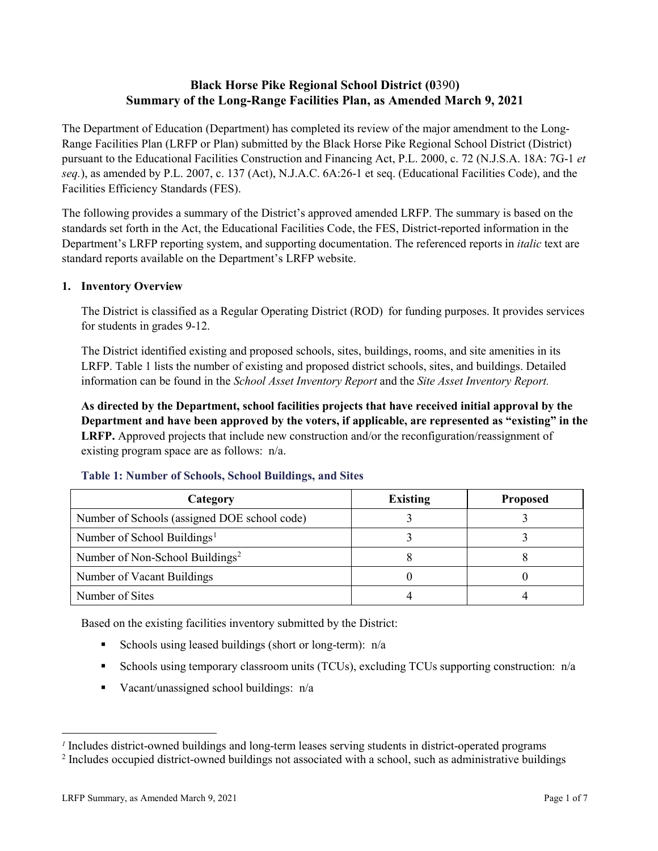# **Black Horse Pike Regional School District (0**390**) Summary of the Long-Range Facilities Plan, as Amended March 9, 2021**

The Department of Education (Department) has completed its review of the major amendment to the Long-Range Facilities Plan (LRFP or Plan) submitted by the Black Horse Pike Regional School District (District) pursuant to the Educational Facilities Construction and Financing Act, P.L. 2000, c. 72 (N.J.S.A. 18A: 7G-1 *et seq.*), as amended by P.L. 2007, c. 137 (Act), N.J.A.C. 6A:26-1 et seq. (Educational Facilities Code), and the Facilities Efficiency Standards (FES).

The following provides a summary of the District's approved amended LRFP. The summary is based on the standards set forth in the Act, the Educational Facilities Code, the FES, District-reported information in the Department's LRFP reporting system, and supporting documentation. The referenced reports in *italic* text are standard reports available on the Department's LRFP website.

#### **1. Inventory Overview**

The District is classified as a Regular Operating District (ROD) for funding purposes. It provides services for students in grades 9-12.

The District identified existing and proposed schools, sites, buildings, rooms, and site amenities in its LRFP. Table 1 lists the number of existing and proposed district schools, sites, and buildings. Detailed information can be found in the *School Asset Inventory Report* and the *Site Asset Inventory Report.*

**As directed by the Department, school facilities projects that have received initial approval by the Department and have been approved by the voters, if applicable, are represented as "existing" in the LRFP.** Approved projects that include new construction and/or the reconfiguration/reassignment of existing program space are as follows: n/a.

| Category                                     | <b>Existing</b> | <b>Proposed</b> |
|----------------------------------------------|-----------------|-----------------|
| Number of Schools (assigned DOE school code) |                 |                 |
| Number of School Buildings <sup>1</sup>      |                 |                 |
| Number of Non-School Buildings <sup>2</sup>  |                 |                 |
| Number of Vacant Buildings                   |                 |                 |
| Number of Sites                              |                 |                 |

#### **Table 1: Number of Schools, School Buildings, and Sites**

Based on the existing facilities inventory submitted by the District:

- Schools using leased buildings (short or long-term):  $n/a$
- Schools using temporary classroom units (TCUs), excluding TCUs supporting construction:  $n/a$
- Vacant/unassigned school buildings:  $n/a$

 $\overline{a}$ 

<span id="page-1-1"></span><span id="page-1-0"></span>*<sup>1</sup>* Includes district-owned buildings and long-term leases serving students in district-operated programs

<sup>&</sup>lt;sup>2</sup> Includes occupied district-owned buildings not associated with a school, such as administrative buildings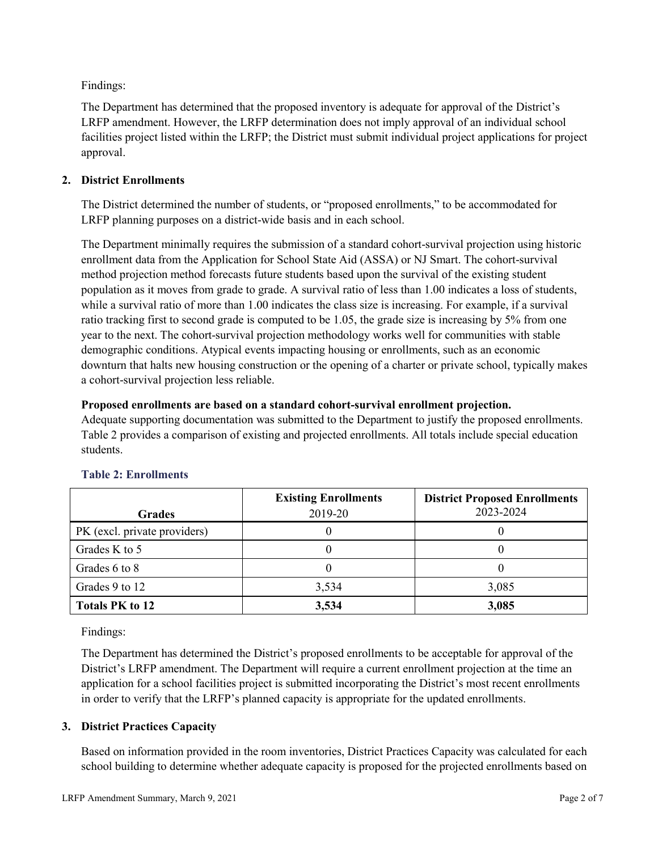Findings:

The Department has determined that the proposed inventory is adequate for approval of the District's LRFP amendment. However, the LRFP determination does not imply approval of an individual school facilities project listed within the LRFP; the District must submit individual project applications for project approval.

## **2. District Enrollments**

The District determined the number of students, or "proposed enrollments," to be accommodated for LRFP planning purposes on a district-wide basis and in each school.

The Department minimally requires the submission of a standard cohort-survival projection using historic enrollment data from the Application for School State Aid (ASSA) or NJ Smart. The cohort-survival method projection method forecasts future students based upon the survival of the existing student population as it moves from grade to grade. A survival ratio of less than 1.00 indicates a loss of students, while a survival ratio of more than 1.00 indicates the class size is increasing. For example, if a survival ratio tracking first to second grade is computed to be 1.05, the grade size is increasing by 5% from one year to the next. The cohort-survival projection methodology works well for communities with stable demographic conditions. Atypical events impacting housing or enrollments, such as an economic downturn that halts new housing construction or the opening of a charter or private school, typically makes a cohort-survival projection less reliable.

## **Proposed enrollments are based on a standard cohort-survival enrollment projection.**

Adequate supporting documentation was submitted to the Department to justify the proposed enrollments. Table 2 provides a comparison of existing and projected enrollments. All totals include special education students.

|                              | <b>Existing Enrollments</b> | <b>District Proposed Enrollments</b> |
|------------------------------|-----------------------------|--------------------------------------|
| <b>Grades</b>                | 2019-20                     | 2023-2024                            |
| PK (excl. private providers) |                             |                                      |
| Grades K to 5                |                             |                                      |
| Grades 6 to 8                |                             |                                      |
| Grades 9 to 12               | 3,534                       | 3,085                                |
| <b>Totals PK to 12</b>       | 3,534                       | 3,085                                |

# **Table 2: Enrollments**

Findings:

The Department has determined the District's proposed enrollments to be acceptable for approval of the District's LRFP amendment. The Department will require a current enrollment projection at the time an application for a school facilities project is submitted incorporating the District's most recent enrollments in order to verify that the LRFP's planned capacity is appropriate for the updated enrollments.

# **3. District Practices Capacity**

Based on information provided in the room inventories, District Practices Capacity was calculated for each school building to determine whether adequate capacity is proposed for the projected enrollments based on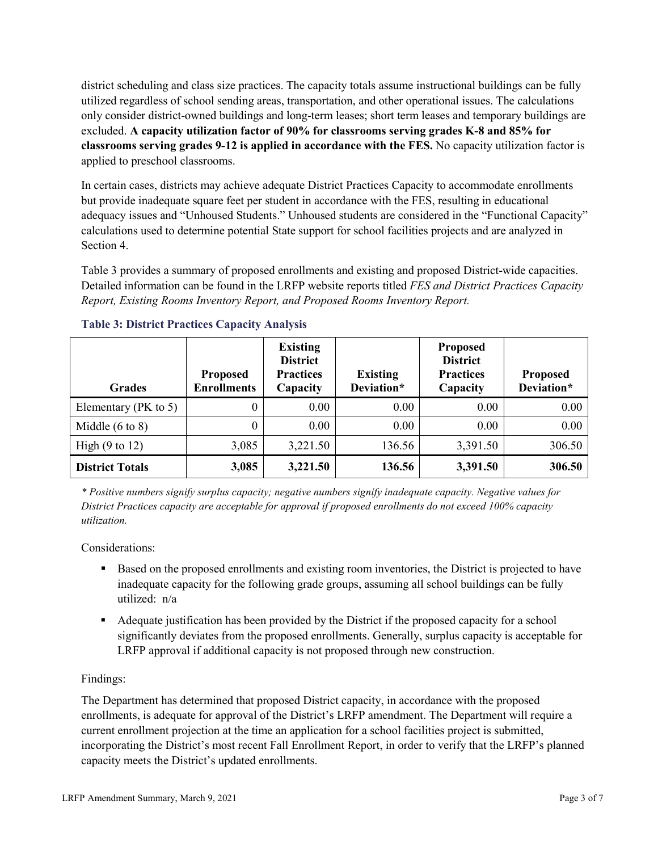district scheduling and class size practices. The capacity totals assume instructional buildings can be fully utilized regardless of school sending areas, transportation, and other operational issues. The calculations only consider district-owned buildings and long-term leases; short term leases and temporary buildings are excluded. **A capacity utilization factor of 90% for classrooms serving grades K-8 and 85% for classrooms serving grades 9-12 is applied in accordance with the FES.** No capacity utilization factor is applied to preschool classrooms.

In certain cases, districts may achieve adequate District Practices Capacity to accommodate enrollments but provide inadequate square feet per student in accordance with the FES, resulting in educational adequacy issues and "Unhoused Students." Unhoused students are considered in the "Functional Capacity" calculations used to determine potential State support for school facilities projects and are analyzed in Section 4.

Table 3 provides a summary of proposed enrollments and existing and proposed District-wide capacities. Detailed information can be found in the LRFP website reports titled *FES and District Practices Capacity Report, Existing Rooms Inventory Report, and Proposed Rooms Inventory Report.*

| <b>Grades</b>              | <b>Proposed</b><br><b>Enrollments</b> | <b>Existing</b><br><b>District</b><br><b>Practices</b><br>Capacity | <b>Existing</b><br>Deviation* | <b>Proposed</b><br><b>District</b><br><b>Practices</b><br>Capacity | <b>Proposed</b><br>Deviation* |
|----------------------------|---------------------------------------|--------------------------------------------------------------------|-------------------------------|--------------------------------------------------------------------|-------------------------------|
| Elementary ( $PK$ to 5)    | 0                                     | 0.00                                                               | 0.00                          | 0.00                                                               | 0.00                          |
| Middle $(6 \text{ to } 8)$ | 0                                     | 0.00                                                               | 0.00                          | 0.00                                                               | 0.00                          |
| High $(9 \text{ to } 12)$  | 3,085                                 | 3,221.50                                                           | 136.56                        | 3,391.50                                                           | 306.50                        |
| <b>District Totals</b>     | 3,085                                 | 3,221.50                                                           | 136.56                        | 3,391.50                                                           | 306.50                        |

## **Table 3: District Practices Capacity Analysis**

*\* Positive numbers signify surplus capacity; negative numbers signify inadequate capacity. Negative values for District Practices capacity are acceptable for approval if proposed enrollments do not exceed 100% capacity utilization.*

Considerations:

- Based on the proposed enrollments and existing room inventories, the District is projected to have inadequate capacity for the following grade groups, assuming all school buildings can be fully utilized: n/a
- Adequate justification has been provided by the District if the proposed capacity for a school significantly deviates from the proposed enrollments. Generally, surplus capacity is acceptable for LRFP approval if additional capacity is not proposed through new construction.

## Findings:

The Department has determined that proposed District capacity, in accordance with the proposed enrollments, is adequate for approval of the District's LRFP amendment. The Department will require a current enrollment projection at the time an application for a school facilities project is submitted, incorporating the District's most recent Fall Enrollment Report, in order to verify that the LRFP's planned capacity meets the District's updated enrollments.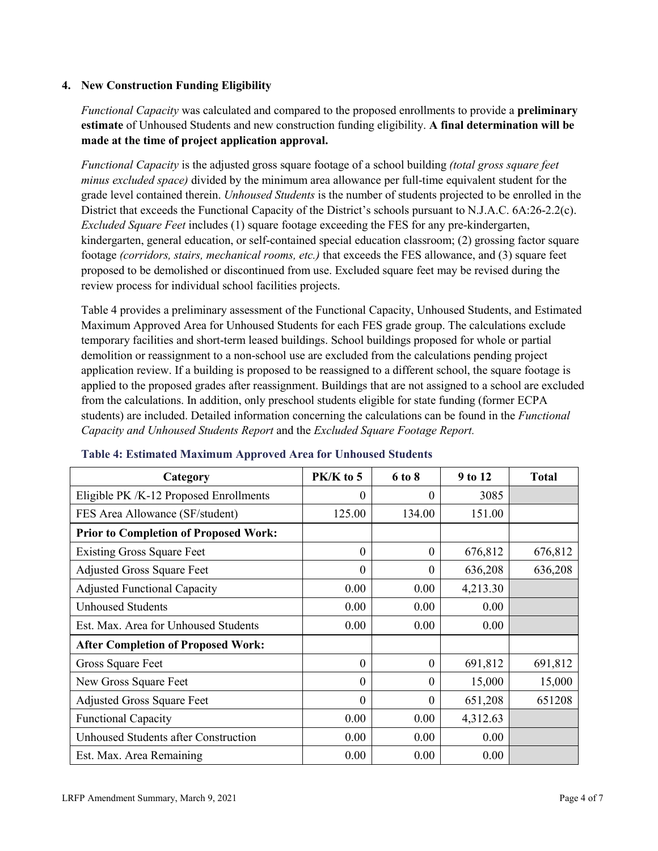## **4. New Construction Funding Eligibility**

*Functional Capacity* was calculated and compared to the proposed enrollments to provide a **preliminary estimate** of Unhoused Students and new construction funding eligibility. **A final determination will be made at the time of project application approval.**

*Functional Capacity* is the adjusted gross square footage of a school building *(total gross square feet minus excluded space)* divided by the minimum area allowance per full-time equivalent student for the grade level contained therein. *Unhoused Students* is the number of students projected to be enrolled in the District that exceeds the Functional Capacity of the District's schools pursuant to N.J.A.C. 6A:26-2.2(c). *Excluded Square Feet* includes (1) square footage exceeding the FES for any pre-kindergarten, kindergarten, general education, or self-contained special education classroom; (2) grossing factor square footage *(corridors, stairs, mechanical rooms, etc.)* that exceeds the FES allowance, and (3) square feet proposed to be demolished or discontinued from use. Excluded square feet may be revised during the review process for individual school facilities projects.

Table 4 provides a preliminary assessment of the Functional Capacity, Unhoused Students, and Estimated Maximum Approved Area for Unhoused Students for each FES grade group. The calculations exclude temporary facilities and short-term leased buildings. School buildings proposed for whole or partial demolition or reassignment to a non-school use are excluded from the calculations pending project application review. If a building is proposed to be reassigned to a different school, the square footage is applied to the proposed grades after reassignment. Buildings that are not assigned to a school are excluded from the calculations. In addition, only preschool students eligible for state funding (former ECPA students) are included. Detailed information concerning the calculations can be found in the *Functional Capacity and Unhoused Students Report* and the *Excluded Square Footage Report.*

| Category                                     | PK/K to 5 | 6 to 8   | 9 to 12  | <b>Total</b> |
|----------------------------------------------|-----------|----------|----------|--------------|
| Eligible PK /K-12 Proposed Enrollments       | $\theta$  | 0        | 3085     |              |
| FES Area Allowance (SF/student)              | 125.00    | 134.00   | 151.00   |              |
| <b>Prior to Completion of Proposed Work:</b> |           |          |          |              |
| <b>Existing Gross Square Feet</b>            | $\theta$  | $\theta$ | 676,812  | 676,812      |
| <b>Adjusted Gross Square Feet</b>            | $\theta$  | $\theta$ | 636,208  | 636,208      |
| <b>Adjusted Functional Capacity</b>          | 0.00      | 0.00     | 4,213.30 |              |
| <b>Unhoused Students</b>                     | 0.00      | 0.00     | 0.00     |              |
| Est. Max. Area for Unhoused Students         | 0.00      | 0.00     | 0.00     |              |
| <b>After Completion of Proposed Work:</b>    |           |          |          |              |
| Gross Square Feet                            | $\theta$  | $\theta$ | 691,812  | 691,812      |
| New Gross Square Feet                        | $\theta$  | $\theta$ | 15,000   | 15,000       |
| <b>Adjusted Gross Square Feet</b>            | $\Omega$  | $\Omega$ | 651,208  | 651208       |
| <b>Functional Capacity</b>                   | 0.00      | 0.00     | 4,312.63 |              |
| <b>Unhoused Students after Construction</b>  | 0.00      | 0.00     | 0.00     |              |
| Est. Max. Area Remaining                     | 0.00      | 0.00     | 0.00     |              |

## **Table 4: Estimated Maximum Approved Area for Unhoused Students**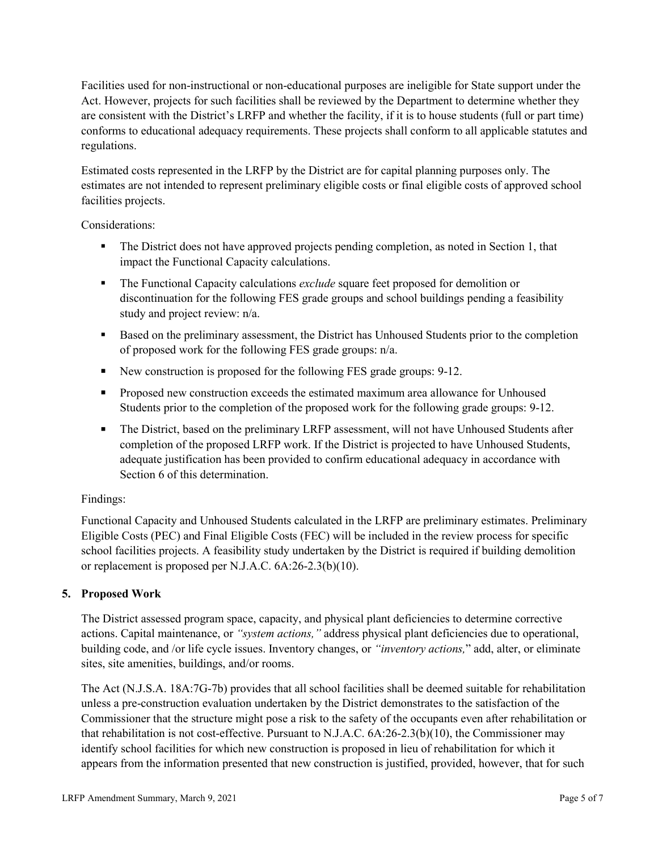Facilities used for non-instructional or non-educational purposes are ineligible for State support under the Act. However, projects for such facilities shall be reviewed by the Department to determine whether they are consistent with the District's LRFP and whether the facility, if it is to house students (full or part time) conforms to educational adequacy requirements. These projects shall conform to all applicable statutes and regulations.

Estimated costs represented in the LRFP by the District are for capital planning purposes only. The estimates are not intended to represent preliminary eligible costs or final eligible costs of approved school facilities projects.

Considerations:

- The District does not have approved projects pending completion, as noted in Section 1, that impact the Functional Capacity calculations.
- **The Functional Capacity calculations** *exclude* square feet proposed for demolition or discontinuation for the following FES grade groups and school buildings pending a feasibility study and project review: n/a.
- Based on the preliminary assessment, the District has Unhoused Students prior to the completion of proposed work for the following FES grade groups: n/a.
- New construction is proposed for the following FES grade groups: 9-12.
- Proposed new construction exceeds the estimated maximum area allowance for Unhoused Students prior to the completion of the proposed work for the following grade groups: 9-12.
- The District, based on the preliminary LRFP assessment, will not have Unhoused Students after completion of the proposed LRFP work. If the District is projected to have Unhoused Students, adequate justification has been provided to confirm educational adequacy in accordance with Section 6 of this determination.

## Findings:

Functional Capacity and Unhoused Students calculated in the LRFP are preliminary estimates. Preliminary Eligible Costs (PEC) and Final Eligible Costs (FEC) will be included in the review process for specific school facilities projects. A feasibility study undertaken by the District is required if building demolition or replacement is proposed per N.J.A.C. 6A:26-2.3(b)(10).

# **5. Proposed Work**

The District assessed program space, capacity, and physical plant deficiencies to determine corrective actions. Capital maintenance, or *"system actions,"* address physical plant deficiencies due to operational, building code, and /or life cycle issues. Inventory changes, or *"inventory actions,*" add, alter, or eliminate sites, site amenities, buildings, and/or rooms.

The Act (N.J.S.A. 18A:7G-7b) provides that all school facilities shall be deemed suitable for rehabilitation unless a pre-construction evaluation undertaken by the District demonstrates to the satisfaction of the Commissioner that the structure might pose a risk to the safety of the occupants even after rehabilitation or that rehabilitation is not cost-effective. Pursuant to N.J.A.C. 6A:26-2.3(b)(10), the Commissioner may identify school facilities for which new construction is proposed in lieu of rehabilitation for which it appears from the information presented that new construction is justified, provided, however, that for such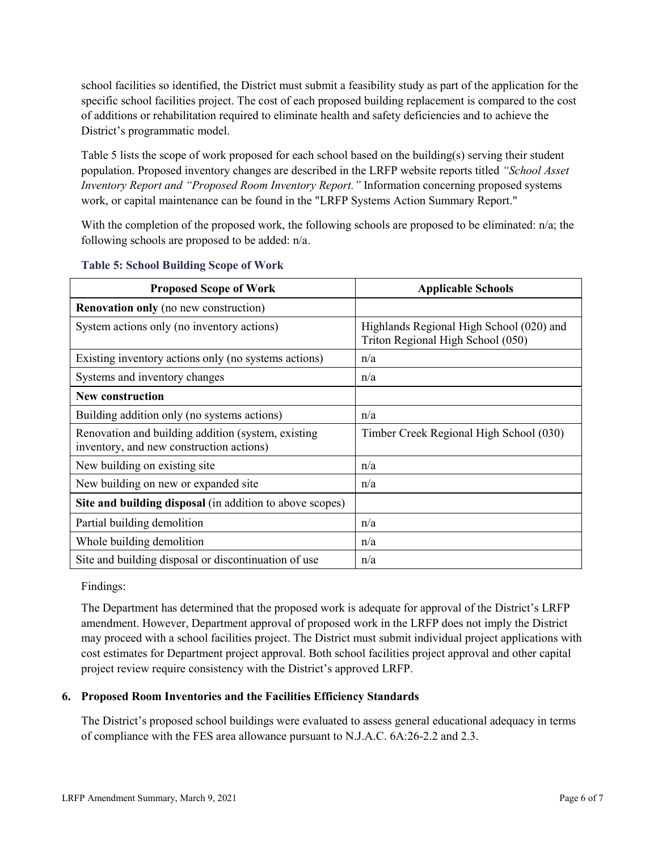school facilities so identified, the District must submit a feasibility study as part of the application for the specific school facilities project. The cost of each proposed building replacement is compared to the cost of additions or rehabilitation required to eliminate health and safety deficiencies and to achieve the District's programmatic model.

Table 5 lists the scope of work proposed for each school based on the building(s) serving their student population. Proposed inventory changes are described in the LRFP website reports titled *"School Asset Inventory Report and "Proposed Room Inventory Report."* Information concerning proposed systems work, or capital maintenance can be found in the "LRFP Systems Action Summary Report."

With the completion of the proposed work, the following schools are proposed to be eliminated: n/a; the following schools are proposed to be added: n/a.

| <b>Proposed Scope of Work</b>                                                                  | <b>Applicable Schools</b>                                                     |
|------------------------------------------------------------------------------------------------|-------------------------------------------------------------------------------|
| <b>Renovation only</b> (no new construction)                                                   |                                                                               |
| System actions only (no inventory actions)                                                     | Highlands Regional High School (020) and<br>Triton Regional High School (050) |
| Existing inventory actions only (no systems actions)                                           | n/a                                                                           |
| Systems and inventory changes                                                                  | n/a                                                                           |
| <b>New construction</b>                                                                        |                                                                               |
| Building addition only (no systems actions)                                                    | n/a                                                                           |
| Renovation and building addition (system, existing<br>inventory, and new construction actions) | Timber Creek Regional High School (030)                                       |
| New building on existing site                                                                  | n/a                                                                           |
| New building on new or expanded site                                                           | n/a                                                                           |
| Site and building disposal (in addition to above scopes)                                       |                                                                               |
| Partial building demolition                                                                    | n/a                                                                           |
| Whole building demolition                                                                      | n/a                                                                           |
| Site and building disposal or discontinuation of use                                           | n/a                                                                           |

#### **Table 5: School Building Scope of Work**

Findings:

The Department has determined that the proposed work is adequate for approval of the District's LRFP amendment. However, Department approval of proposed work in the LRFP does not imply the District may proceed with a school facilities project. The District must submit individual project applications with cost estimates for Department project approval. Both school facilities project approval and other capital project review require consistency with the District's approved LRFP.

#### **6. Proposed Room Inventories and the Facilities Efficiency Standards**

The District's proposed school buildings were evaluated to assess general educational adequacy in terms of compliance with the FES area allowance pursuant to N.J.A.C. 6A:26-2.2 and 2.3.